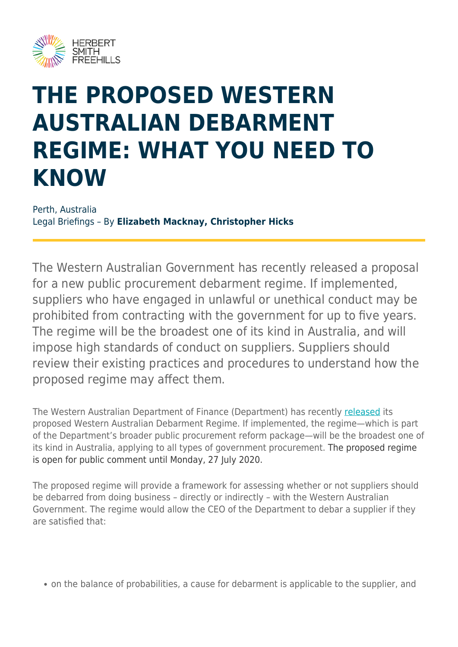

## **THE PROPOSED WESTERN AUSTRALIAN DEBARMENT REGIME: WHAT YOU NEED TO KNOW**

Perth, Australia Legal Briefings – By **Elizabeth Macknay, Christopher Hicks**

The Western Australian Government has recently released a proposal for a new public procurement debarment regime. If implemented, suppliers who have engaged in unlawful or unethical conduct may be prohibited from contracting with the government for up to five years. The regime will be the broadest one of its kind in Australia, and will impose high standards of conduct on suppliers. Suppliers should review their existing practices and procedures to understand how the proposed regime may affect them.

The Western Australian Department of Finance (Department) has recently [released](https://www.wa.gov.au/sites/default/files/2020-06/Draft - Western Australian Debarment Regime_0.pdf) its proposed Western Australian Debarment Regime. If implemented, the regime—which is part of the Department's broader public procurement reform package—will be the broadest one of its kind in Australia, applying to all types of government procurement. The proposed regime is open for public comment until Monday, 27 July 2020.

The proposed regime will provide a framework for assessing whether or not suppliers should be debarred from doing business – directly or indirectly – with the Western Australian Government. The regime would allow the CEO of the Department to debar a supplier if they are satisfied that:

on the balance of probabilities, a cause for debarment is applicable to the supplier, and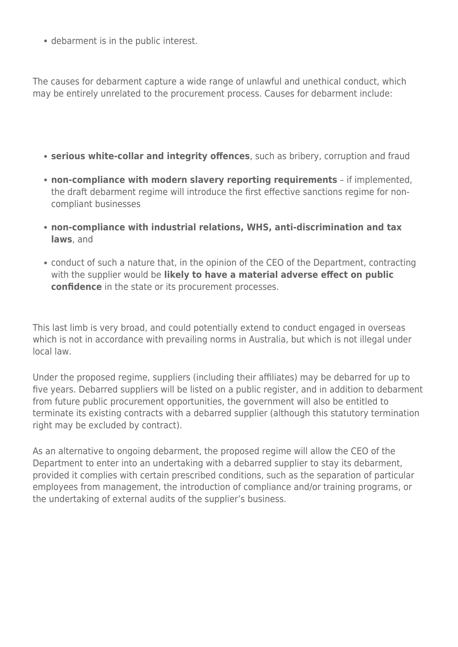debarment is in the public interest.

The causes for debarment capture a wide range of unlawful and unethical conduct, which may be entirely unrelated to the procurement process. Causes for debarment include:

- **serious white-collar and integrity offences**, such as bribery, corruption and fraud
- **non-compliance with modern slavery reporting requirements** if implemented, the draft debarment regime will introduce the first effective sanctions regime for noncompliant businesses
- **non-compliance with industrial relations, WHS, anti-discrimination and tax laws**, and
- conduct of such a nature that, in the opinion of the CEO of the Department, contracting with the supplier would be **likely to have a material adverse effect on public confidence** in the state or its procurement processes.

This last limb is very broad, and could potentially extend to conduct engaged in overseas which is not in accordance with prevailing norms in Australia, but which is not illegal under local law.

Under the proposed regime, suppliers (including their affiliates) may be debarred for up to five years. Debarred suppliers will be listed on a public register, and in addition to debarment from future public procurement opportunities, the government will also be entitled to terminate its existing contracts with a debarred supplier (although this statutory termination right may be excluded by contract).

As an alternative to ongoing debarment, the proposed regime will allow the CEO of the Department to enter into an undertaking with a debarred supplier to stay its debarment, provided it complies with certain prescribed conditions, such as the separation of particular employees from management, the introduction of compliance and/or training programs, or the undertaking of external audits of the supplier's business.